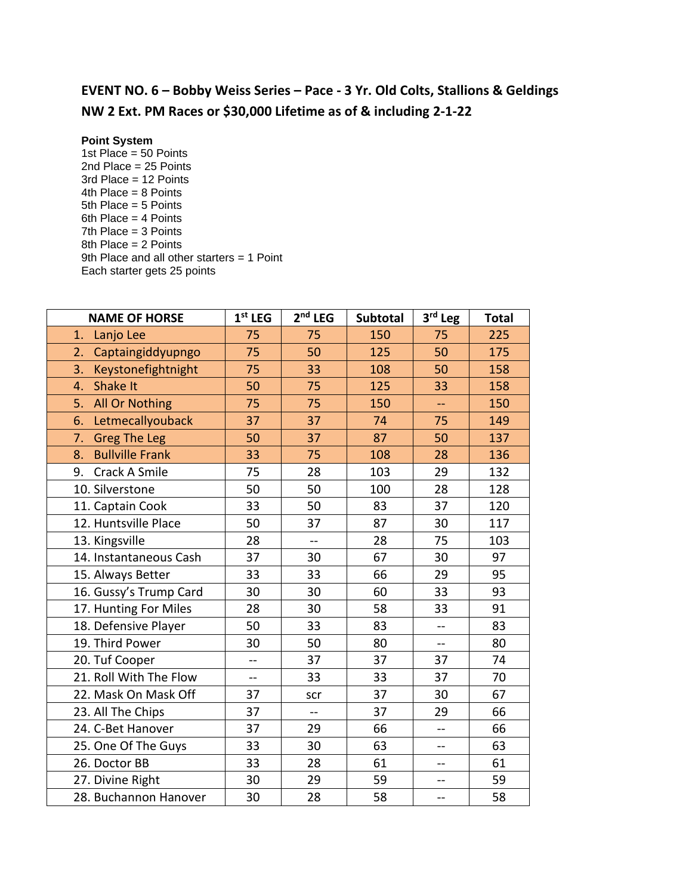## **EVENT NO. 6 – Bobby Weiss Series – Pace - 3 Yr. Old Colts, Stallions & Geldings NW 2 Ext. PM Races or \$30,000 Lifetime as of & including 2-1-22**

## **Point System**

1st Place = 50 Points 2nd Place = 25 Points 3rd Place = 12 Points 4th Place = 8 Points 5th Place = 5 Points 6th Place = 4 Points 7th Place = 3 Points 8th Place = 2 Points 9th Place and all other starters = 1 Point Each starter gets 25 points

| <b>NAME OF HORSE</b>         | $1st$ LEG      | $2nd$ LEG | Subtotal | 3rd Leg        | <b>Total</b> |
|------------------------------|----------------|-----------|----------|----------------|--------------|
| Lanjo Lee<br>1.              | 75             | 75        | 150      | 75             | 225          |
| Captaingiddyupngo<br>2.      | 75             | 50        | 125      | 50             | 175          |
| 3.<br>Keystonefightnight     | 75             | 33        | 108      | 50             | 158          |
| <b>Shake It</b><br>4.        | 50             | 75        | 125      | 33             | 158          |
| All Or Nothing<br>5.         | 75             | 75        | 150      | цц.            | 150          |
| Letmecallyouback<br>6.       | 37             | 37        | 74       | 75             | 149          |
| <b>Greg The Leg</b><br>7.    | 50             | 37        | 87       | 50             | 137          |
| <b>Bullville Frank</b><br>8. | 33             | 75        | 108      | 28             | 136          |
| Crack A Smile<br>9.          | 75             | 28        | 103      | 29             | 132          |
| 10. Silverstone              | 50             | 50        | 100      | 28             | 128          |
| 11. Captain Cook             | 33             | 50        | 83       | 37             | 120          |
| 12. Huntsville Place         | 50             | 37        | 87       | 30             | 117          |
| 13. Kingsville               | 28             | $-$       | 28       | 75             | 103          |
| 14. Instantaneous Cash       | 37             | 30        | 67       | 30             | 97           |
| 15. Always Better            | 33             | 33        | 66       | 29             | 95           |
| 16. Gussy's Trump Card       | 30             | 30        | 60       | 33             | 93           |
| 17. Hunting For Miles        | 28             | 30        | 58       | 33             | 91           |
| 18. Defensive Player         | 50             | 33        | 83       | $-$            | 83           |
| 19. Third Power              | 30             | 50        | 80       | $\overline{a}$ | 80           |
| 20. Tuf Cooper               | $-$            | 37        | 37       | 37             | 74           |
| 21. Roll With The Flow       | $\overline{a}$ | 33        | 33       | 37             | 70           |
| 22. Mask On Mask Off         | 37             | scr       | 37       | 30             | 67           |
| 23. All The Chips            | 37             | --        | 37       | 29             | 66           |
| 24. C-Bet Hanover            | 37             | 29        | 66       | $-$            | 66           |
| 25. One Of The Guys          | 33             | 30        | 63       | $-$            | 63           |
| 26. Doctor BB                | 33             | 28        | 61       | --             | 61           |
| 27. Divine Right             | 30             | 29        | 59       | $-$            | 59           |
| 28. Buchannon Hanover        | 30             | 28        | 58       | $-$            | 58           |